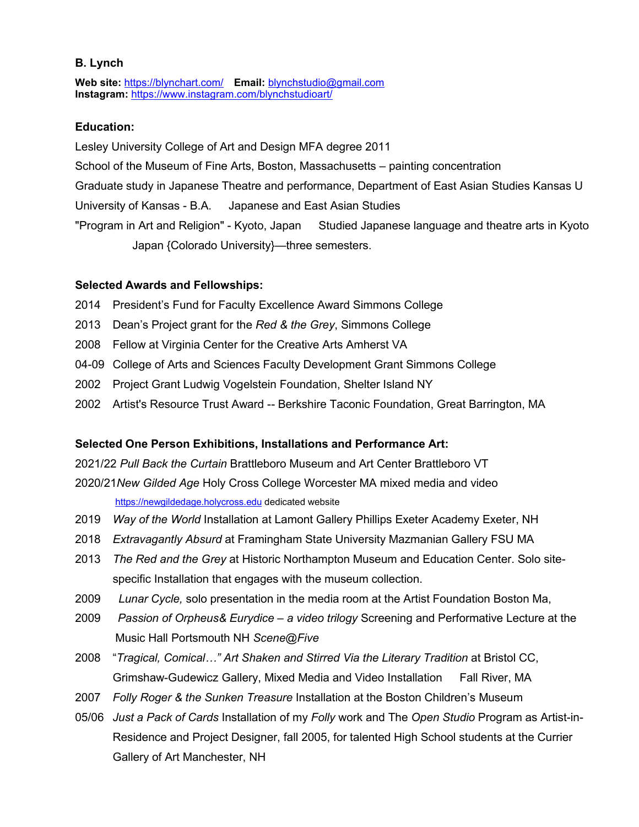## **B. Lynch**

**Web site:** <https://blynchart.com/> **Email:** [blynchstudio@gmail.com](mailto:blynchstudio@gmail.com) **Instagram:** <https://www.instagram.com/blynchstudioart/>

# **Education:**

Lesley University College of Art and Design MFA degree 2011 School of the Museum of Fine Arts, Boston, Massachusetts – painting concentration Graduate study in Japanese Theatre and performance, Department of East Asian Studies Kansas U University of Kansas - B.A. Japanese and East Asian Studies "Program in Art and Religion" - Kyoto, Japan Studied Japanese language and theatre arts in Kyoto Japan {Colorado University}—three semesters.

## **Selected Awards and Fellowships:**

- 2014 President's Fund for Faculty Excellence Award Simmons College
- 2013 Dean's Project grant for the *Red & the Grey*,Simmons College
- 2008 Fellow at Virginia Center for the Creative Arts Amherst VA
- 04-09 College of Arts and Sciences Faculty Development Grant Simmons College
- 2002 Project Grant Ludwig Vogelstein Foundation, Shelter Island NY
- 2002 Artist's Resource Trust Award -- Berkshire Taconic Foundation, Great Barrington, MA

## **Selected One Person Exhibitions, Installations and Performance Art:**

2021/22 *Pull Back the Curtain* Brattleboro Museum and Art Center Brattleboro VT

2020/21*New GildedAge* Holy Cross College Worcester MA mixed media and video <https://newgildedage.holycross.edu> dedicated website

- 2019 *Way of the World* Installation at Lamont Gallery Phillips Exeter Academy Exeter, NH
- 2018 *Extravagantly Absurd* at Framingham State University Mazmanian Gallery FSU MA
- 2013 *The Red and the Grey* at Historic Northampton Museum and Education Center. Solo site specific Installation that engages with the museum collection.
- 2009 Lunar Cycle, solo presentation in the media room at the Artist Foundation Boston Ma,<br>2009 Passion of Orpheus& Eurydice a video trilogy Screening and Performative Lecture at the
- Music Hall Portsmouth NH *Scene@Five*
- 2008 "*Tragical, Comical…" Art Shaken and Stirred Via the Literary Tradition* at Bristol CC, Grimshaw-Gudewicz Gallery, Mixed Media and Video Installation Fall River, MA
- 2007 *Folly Roger & the Sunken Treasure* Installation at the Boston Children's Museum
- 05/06 *Just a Pack of Cards* Installation of my *Folly* work and The *Open Studio* Program as Artist-in- Residence and Project Designer, fall 2005, for talented High School students at the Currier Gallery of Art Manchester, NH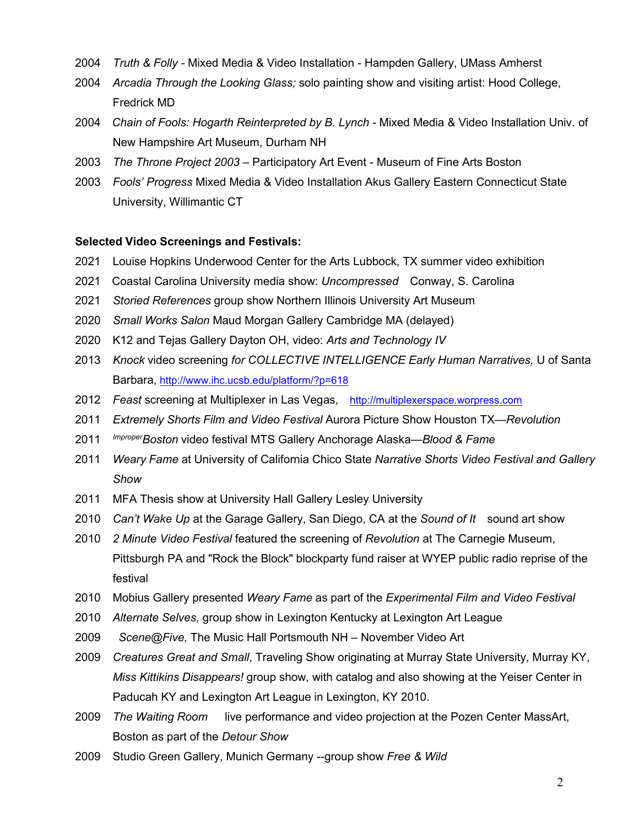- *Truth & Folly -* Mixed Media & Video Installation Hampden Gallery, UMass Amherst
- *Arcadia Through the Looking Glass;* solo painting show and visiting artist: Hood College, Fredrick MD
- *Chain of Fools: Hogarth Reinterpreted by B. Lynch -* Mixed Media & Video Installation Univ. of New Hampshire Art Museum, Durham NH
- *The Throne Project 2003* Participatory Art Event Museum of Fine Arts Boston
- *Fools' Progress* Mixed Media & Video Installation Akus Gallery Eastern Connecticut State University, Willimantic CT

### **Selected Video Screenings and Festivals:**

- Louise Hopkins Underwood Center for the Arts Lubbock, TX summer video exhibition
- Coastal Carolina University media show: *Uncompressed* Conway, S. Carolina
- *Storied References* group show Northern Illinois University Art Museum
- *Small Works Salon* Maud Morgan Gallery Cambridge MA (delayed)
- K12 and Tejas Gallery Dayton OH, video: *Arts and Technology IV*
- *Knock* video screening *for COLLECTIVE INTELLIGENCE Early Human Narratives,* U of Santa Barbara, <http://www.ihc.ucsb.edu/platform/?p=618>
- *Feast* screening at Multiplexer in Las Vegas, <http://multiplexerspace.worpress.com>
- *Extremely Shorts Film and Video Festival* Aurora Picture Show Houston TX—*Revolution*
- *ImproperBoston* video festival MTS Gallery Anchorage Alaska—*Blood & Fame*
- *Weary Fame* at University of California Chico State *Narrative Shorts Video Festival and Gallery Show*
- MFA Thesis show at University Hall Gallery Lesley University
- *Can't Wake Up* at the Garage Gallery, San Diego, CA at the *Sound of It* sound art show
- *2 Minute Video Festival* featured the screening of *Revolution* at The Carnegie Museum, Pittsburgh PA and "Rock the Block" blockparty fund raiser at WYEP public radio reprise of the festival
- Mobius Gallery presented *Weary Fame* as part of the *Experimental Film and Video Festival*
- *Alternate Selves,* group show in Lexington Kentucky at Lexington Art League
- *Scene@Five,* The Music Hall Portsmouth NH November Video Art
- *Creatures Great and Small*, Traveling Show originating at Murray State University, Murray KY, *Miss Kittikins Disappears!* group show, with catalog and also showing at the Yeiser Center in Paducah KY and Lexington Art League in Lexington, KY 2010.
- *The Waiting Room* live performance and video projection at the Pozen Center MassArt, Boston as part of the *Detour Show*
- Studio Green Gallery, Munich Germany --group show *Free & Wild*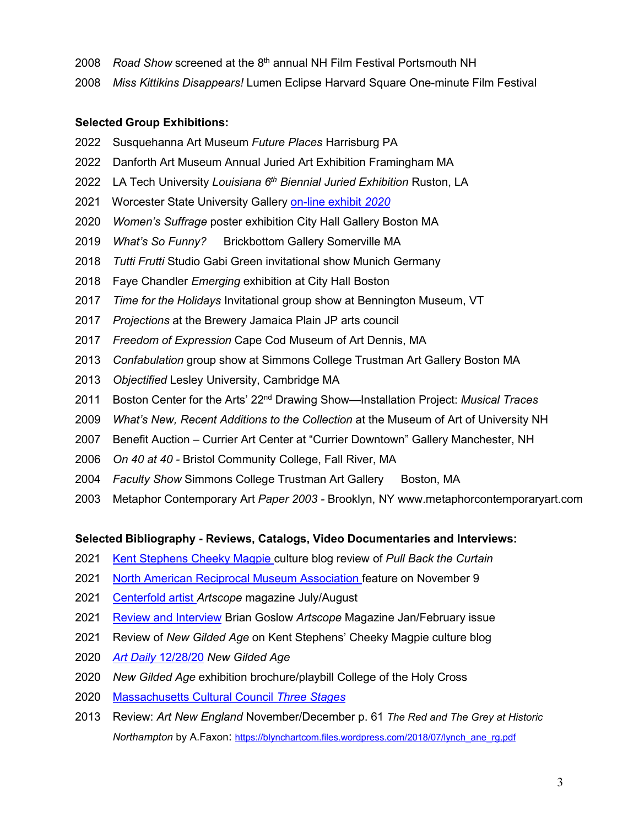- *Road Show* screened at the 8 th annual NH Film Festival Portsmouth NH
- *Miss Kittikins Disappears!* Lumen Eclipse Harvard Square One-minute Film Festival

# **Selected Group Exhibitions:**

- Susquehanna Art Museum *Future Places* Harrisburg PA
- Danforth Art Museum Annual Juried Art Exhibition Framingham MA
- LA Tech University *Louisiana 6 th Biennial Juried Exhibition* Ruston, LA
- Worcester State University Gallery [on-line]( https:/wsuvpagallery.weebly.com/2020-exhibition.html) exhibit *2020*
- *Women's Suffrage* poster exhibition City Hall Gallery Boston MA
- *What's So Funny?* Brickbottom Gallery Somerville MA
- *Tutti Frutti* Studio Gabi Green invitational show Munich Germany
- Faye Chandler *Emerging* exhibition at City Hall Boston
- *Time for the Holidays* Invitational group show at Bennington Museum, VT
- *Projections* at the Brewery Jamaica Plain JP arts council
- *Freedom of Expression* Cape Cod Museum of Art Dennis, MA
- *Confabulation* group show at Simmons College Trustman Art Gallery Boston MA
- *Objectified* Lesley University, Cambridge MA
- 2011 Boston Center for the Arts' 22<sup>nd</sup> Drawing Show—Installation Project: *Musical Traces*
- *What's New, Recent Additions to the Collection* at the Museum of Art of University NH
- 2007 Benefit Auction Currier Art Center at "Currier Downtown" Gallery Manchester, NH
- *On 40 at 40 -* Bristol Community College, Fall River, MA
- *Faculty Show Simmons College Trustman Art Gallery* Boston, MA
- Metaphor Contemporary Art *Paper 2003 -* Brooklyn, NY www.metaphorcontemporaryart.com

### **Selected Bibliography - Reviews, Catalogs, Video Documentaries and Interviews:**

- Kent [Stephens](https://www.cheekymagpie.org/post/the-brattleboro-gambit-b-lynch-s-reds-and-greys-play-mini-chess-in-vermont ) Cheeky Magpie culture blog review of *Pull Back the Curtain*
- North American Reciprocal Museum [Association](https://narmassociation.org/b-lynch-pull-back-the-curtain/) feature on November 9
- [Centerfold](https://artscopemagazine.com/centerfolds/july-august-2021-centerfold/) artist *Artscope* magazine July/August
- Review and [Interview](https://blynchartcom.files.wordpress.com/2021/01/artscope_gildedage.pdf) Brian Goslow *Artscope* Magazine Jan/February issue
- 2021 Review of *New Gilded Age* on Kent Stephens' Cheeky Magpie culture blog
- *Art Daily* [12/28/20](https://artdaily.cc/news/131505/Holy-Cross--Cantor-Art-Gallery-exhibits-the--New-Gilded-Age--by-Boston-artist-B--Lynch ) *New GildedAge*
- *New GildedAge* exhibition brochure/playbill College of the Holy Cross
- [Massachusetts](https://artsake.massculturalcouncil.org/three-stages-b-lynch/) Cultural Council *Three Stages*
- Review: *Art New England* November/December p. 61 *The Red and The Grey at Historic Northampton* by A.Faxon: [https://blynchartcom.files.wordpress.com/2018/07/lynch\\_ane\\_rg.pdf](https://blynchartcom.files.wordpress.com/2018/07/lynch_ane_rg.pdf)